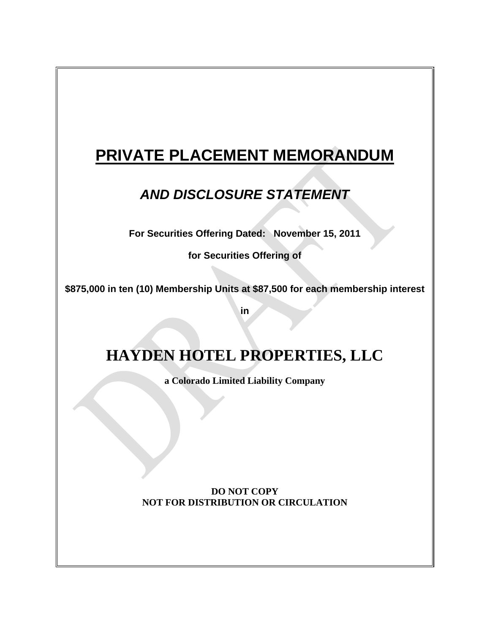# **PRIVATE PLACEMENT MEMORANDUM**

# *AND DISCLOSURE STATEMENT*

**For Securities Offering Dated: November 15, 2011**

**for Securities Offering of**

**\$875,000 in ten (10) Membership Units at \$87,500 for each membership interest**

**in**

# **HAYDEN HOTEL PROPERTIES, LLC**

**a Colorado Limited Liability Company**

**DO NOT COPY NOT FOR DISTRIBUTION OR CIRCULATION**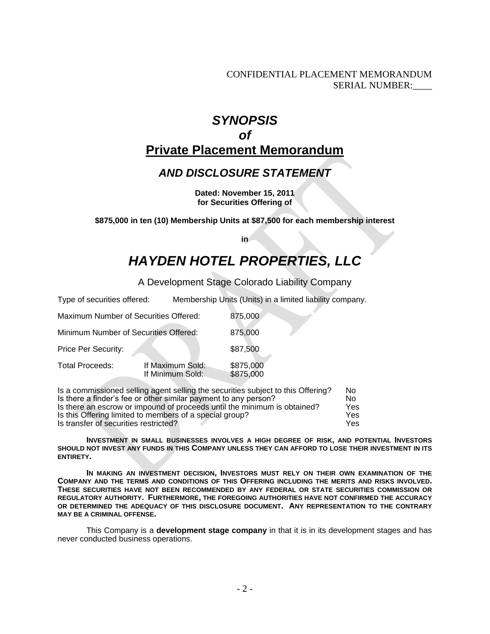CONFIDENTIAL PLACEMENT MEMORANDUM SERIAL NUMBER:\_\_\_\_

## *SYNOPSIS of* **Private Placement Memorandum**

## *AND DISCLOSURE STATEMENT*

**Dated: November 15, 2011 for Securities Offering of**

**\$875,000 in ten (10) Membership Units at \$87,500 for each membership interest**

**in**

# *HAYDEN HOTEL PROPERTIES, LLC*

A Development Stage Colorado Liability Company

| Type of securities offered:           |                                      | Membership Units (Units) in a limited liability company. |  |
|---------------------------------------|--------------------------------------|----------------------------------------------------------|--|
| Maximum Number of Securities Offered: |                                      | 875,000                                                  |  |
| Minimum Number of Securities Offered: |                                      | 875,000                                                  |  |
| Price Per Security:                   |                                      | \$87,500                                                 |  |
| <b>Total Proceeds:</b>                | If Maximum Sold:<br>If Minimum Sold: | \$875,000<br>\$875,000                                   |  |
|                                       |                                      |                                                          |  |

| Is a commissioned selling agent selling the securities subject to this Offering? | No. |
|----------------------------------------------------------------------------------|-----|
| Is there a finder's fee or other similar payment to any person?                  | Nο  |
| Is there an escrow or impound of proceeds until the minimum is obtained?         | Yes |
| Is this Offering limited to members of a special group?                          | Yes |
| Is transfer of securities restricted?                                            | Yes |

**INVESTMENT IN SMALL BUSINESSES INVOLVES A HIGH DEGREE OF RISK, AND POTENTIAL INVESTORS SHOULD NOT INVEST ANY FUNDS IN THIS COMPANY UNLESS THEY CAN AFFORD TO LOSE THEIR INVESTMENT IN ITS ENTIRETY.**

**IN MAKING AN INVESTMENT DECISION, INVESTORS MUST RELY ON THEIR OWN EXAMINATION OF THE COMPANY AND THE TERMS AND CONDITIONS OF THIS OFFERING INCLUDING THE MERITS AND RISKS INVOLVED. THESE SECURITIES HAVE NOT BEEN RECOMMENDED BY ANY FEDERAL OR STATE SECURITIES COMMISSION OR REGULATORY AUTHORITY. FURTHERMORE, THE FOREGOING AUTHORITIES HAVE NOT CONFIRMED THE ACCURACY OR DETERMINED THE ADEQUACY OF THIS DISCLOSURE DOCUMENT. ANY REPRESENTATION TO THE CONTRARY MAY BE A CRIMINAL OFFENSE.**

This Company is a **development stage company** in that it is in its development stages and has never conducted business operations.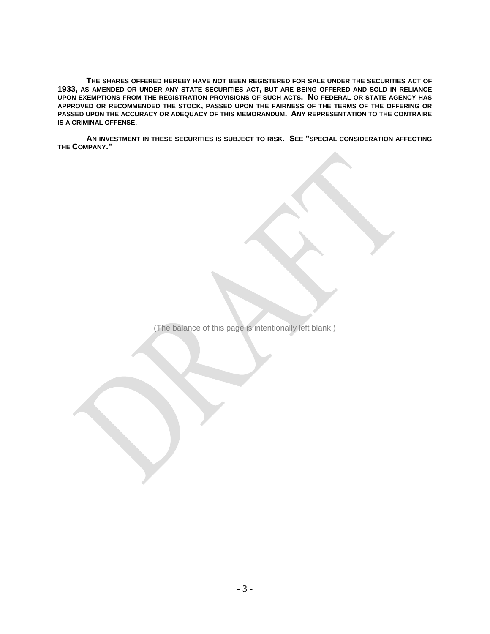**THE SHARES OFFERED HEREBY HAVE NOT BEEN REGISTERED FOR SALE UNDER THE SECURITIES ACT OF 1933, AS AMENDED OR UNDER ANY STATE SECURITIES ACT, BUT ARE BEING OFFERED AND SOLD IN RELIANCE UPON EXEMPTIONS FROM THE REGISTRATION PROVISIONS OF SUCH ACTS. NO FEDERAL OR STATE AGENCY HAS APPROVED OR RECOMMENDED THE STOCK, PASSED UPON THE FAIRNESS OF THE TERMS OF THE OFFERING OR PASSED UPON THE ACCURACY OR ADEQUACY OF THIS MEMORANDUM. ANY REPRESENTATION TO THE CONTRAIRE IS A CRIMINAL OFFENSE**.

**AN INVESTMENT IN THESE SECURITIES IS SUBJECT TO RISK. SEE "SPECIAL CONSIDERATION AFFECTING THE COMPANY."**

(The balance of this page is intentionally left blank.)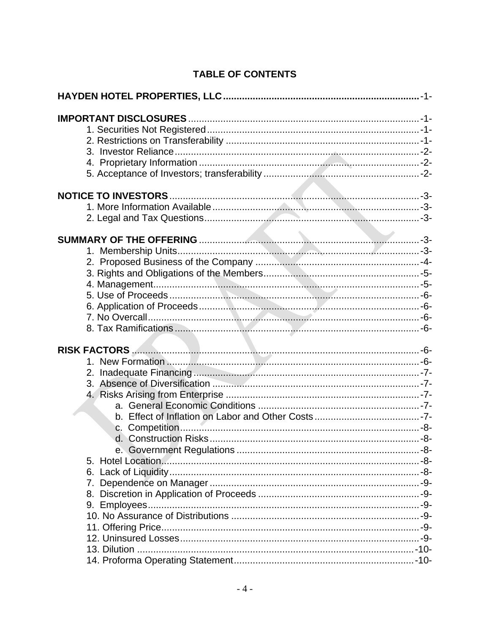## **TABLE OF CONTENTS**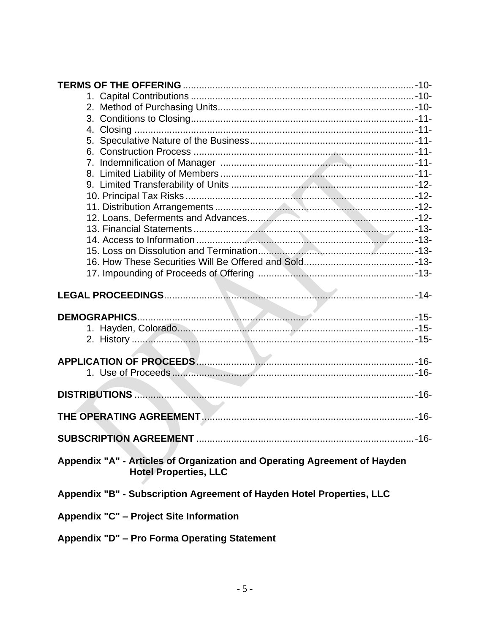| THE OPERATING AGREEMENT <b>MACHIMORY CONTROLS</b> 16-                     |      |
|---------------------------------------------------------------------------|------|
|                                                                           |      |
|                                                                           |      |
| <b>SUBSCRIPTION AGREEMENT</b>                                             | -16- |
|                                                                           |      |
| Appendix "A" - Articles of Organization and Operating Agreement of Hayden |      |
| <b>Hotel Properties, LLC</b>                                              |      |
|                                                                           |      |
| Appendix "B" - Subscription Agreement of Hayden Hotel Properties, LLC     |      |
| Appendix "C" - Project Site Information                                   |      |
|                                                                           |      |
| Appendix "D" - Pro Forma Operating Statement                              |      |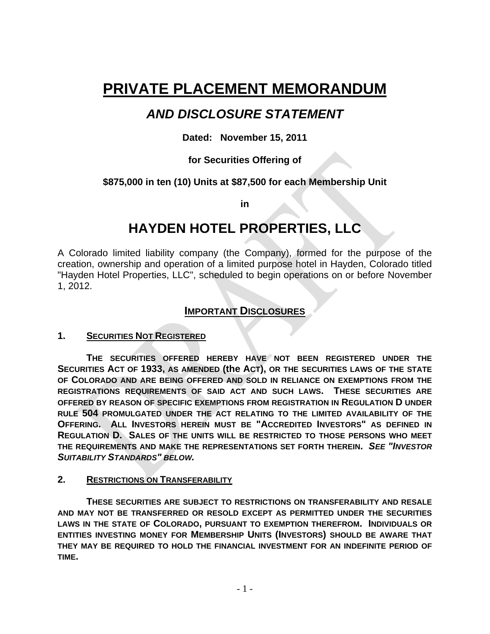# **PRIVATE PLACEMENT MEMORANDUM**

## *AND DISCLOSURE STATEMENT*

## **Dated: November 15, 2011**

## **for Securities Offering of**

## **\$875,000 in ten (10) Units at \$87,500 for each Membership Unit**

**in**

## **HAYDEN HOTEL PROPERTIES, LLC**

A Colorado limited liability company (the Company), formed for the purpose of the creation, ownership and operation of a limited purpose hotel in Hayden, Colorado titled "Hayden Hotel Properties, LLC", scheduled to begin operations on or before November 1, 2012.

## **IMPORTANT DISCLOSURES**

## **1. SECURITIES NOT REGISTERED**

**THE SECURITIES OFFERED HEREBY HAVE NOT BEEN REGISTERED UNDER THE SECURITIES ACT OF 1933, AS AMENDED (the ACT), OR THE SECURITIES LAWS OF THE STATE OF COLORADO AND ARE BEING OFFERED AND SOLD IN RELIANCE ON EXEMPTIONS FROM THE REGISTRATIONS REQUIREMENTS OF SAID ACT AND SUCH LAWS. THESE SECURITIES ARE OFFERED BY REASON OF SPECIFIC EXEMPTIONS FROM REGISTRATION IN REGULATION D UNDER RULE 504 PROMULGATED UNDER THE ACT RELATING TO THE LIMITED AVAILABILITY OF THE OFFERING. ALL INVESTORS HEREIN MUST BE "ACCREDITED INVESTORS" AS DEFINED IN REGULATION D. SALES OF THE UNITS WILL BE RESTRICTED TO THOSE PERSONS WHO MEET THE REQUIREMENTS AND MAKE THE REPRESENTATIONS SET FORTH THEREIN.** *SEE "INVESTOR SUITABILITY STANDARDS" BELOW.*

#### **2. RESTRICTIONS ON TRANSFERABILITY**

**THESE SECURITIES ARE SUBJECT TO RESTRICTIONS ON TRANSFERABILITY AND RESALE AND MAY NOT BE TRANSFERRED OR RESOLD EXCEPT AS PERMITTED UNDER THE SECURITIES LAWS IN THE STATE OF COLORADO, PURSUANT TO EXEMPTION THEREFROM. INDIVIDUALS OR ENTITIES INVESTING MONEY FOR MEMBERSHIP UNITS (INVESTORS) SHOULD BE AWARE THAT THEY MAY BE REQUIRED TO HOLD THE FINANCIAL INVESTMENT FOR AN INDEFINITE PERIOD OF TIME.**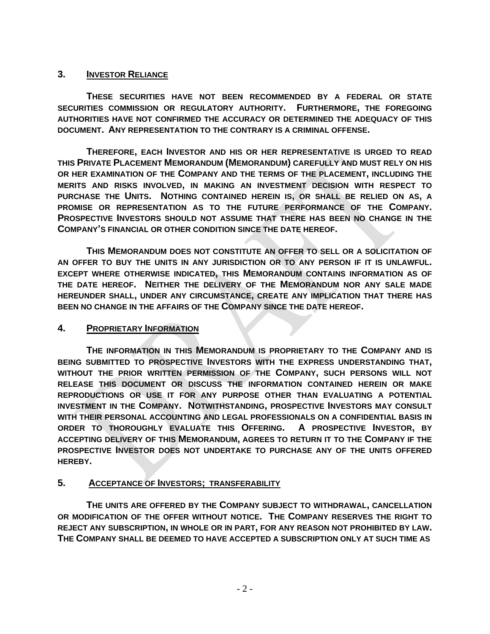### **3. INVESTOR RELIANCE**

**THESE SECURITIES HAVE NOT BEEN RECOMMENDED BY A FEDERAL OR STATE SECURITIES COMMISSION OR REGULATORY AUTHORITY. FURTHERMORE, THE FOREGOING AUTHORITIES HAVE NOT CONFIRMED THE ACCURACY OR DETERMINED THE ADEQUACY OF THIS DOCUMENT. ANY REPRESENTATION TO THE CONTRARY IS A CRIMINAL OFFENSE.**

**THEREFORE, EACH INVESTOR AND HIS OR HER REPRESENTATIVE IS URGED TO READ THIS PRIVATE PLACEMENT MEMORANDUM (MEMORANDUM) CAREFULLY AND MUST RELY ON HIS OR HER EXAMINATION OF THE COMPANY AND THE TERMS OF THE PLACEMENT, INCLUDING THE MERITS AND RISKS INVOLVED, IN MAKING AN INVESTMENT DECISION WITH RESPECT TO PURCHASE THE UNITS. NOTHING CONTAINED HEREIN IS, OR SHALL BE RELIED ON AS, A PROMISE OR REPRESENTATION AS TO THE FUTURE PERFORMANCE OF THE COMPANY. PROSPECTIVE INVESTORS SHOULD NOT ASSUME THAT THERE HAS BEEN NO CHANGE IN THE COMPANY'S FINANCIAL OR OTHER CONDITION SINCE THE DATE HEREOF.**

**THIS MEMORANDUM DOES NOT CONSTITUTE AN OFFER TO SELL OR A SOLICITATION OF AN OFFER TO BUY THE UNITS IN ANY JURISDICTION OR TO ANY PERSON IF IT IS UNLAWFUL. EXCEPT WHERE OTHERWISE INDICATED, THIS MEMORANDUM CONTAINS INFORMATION AS OF THE DATE HEREOF. NEITHER THE DELIVERY OF THE MEMORANDUM NOR ANY SALE MADE HEREUNDER SHALL, UNDER ANY CIRCUMSTANCE, CREATE ANY IMPLICATION THAT THERE HAS BEEN NO CHANGE IN THE AFFAIRS OF THE COMPANY SINCE THE DATE HEREOF.**

#### **4. PROPRIETARY INFORMATION**

**THE INFORMATION IN THIS MEMORANDUM IS PROPRIETARY TO THE COMPANY AND IS BEING SUBMITTED TO PROSPECTIVE INVESTORS WITH THE EXPRESS UNDERSTANDING THAT, WITHOUT THE PRIOR WRITTEN PERMISSION OF THE COMPANY, SUCH PERSONS WILL NOT RELEASE THIS DOCUMENT OR DISCUSS THE INFORMATION CONTAINED HEREIN OR MAKE REPRODUCTIONS OR USE IT FOR ANY PURPOSE OTHER THAN EVALUATING A POTENTIAL INVESTMENT IN THE COMPANY. NOTWITHSTANDING, PROSPECTIVE INVESTORS MAY CONSULT WITH THEIR PERSONAL ACCOUNTING AND LEGAL PROFESSIONALS ON A CONFIDENTIAL BASIS IN ORDER TO THOROUGHLY EVALUATE THIS OFFERING. A PROSPECTIVE INVESTOR, BY ACCEPTING DELIVERY OF THIS MEMORANDUM, AGREES TO RETURN IT TO THE COMPANY IF THE PROSPECTIVE INVESTOR DOES NOT UNDERTAKE TO PURCHASE ANY OF THE UNITS OFFERED HEREBY.**

## **5. ACCEPTANCE OF INVESTORS; TRANSFERABILITY**

**THE UNITS ARE OFFERED BY THE COMPANY SUBJECT TO WITHDRAWAL, CANCELLATION OR MODIFICATION OF THE OFFER WITHOUT NOTICE. THE COMPANY RESERVES THE RIGHT TO REJECT ANY SUBSCRIPTION, IN WHOLE OR IN PART, FOR ANY REASON NOT PROHIBITED BY LAW. THE COMPANY SHALL BE DEEMED TO HAVE ACCEPTED A SUBSCRIPTION ONLY AT SUCH TIME AS**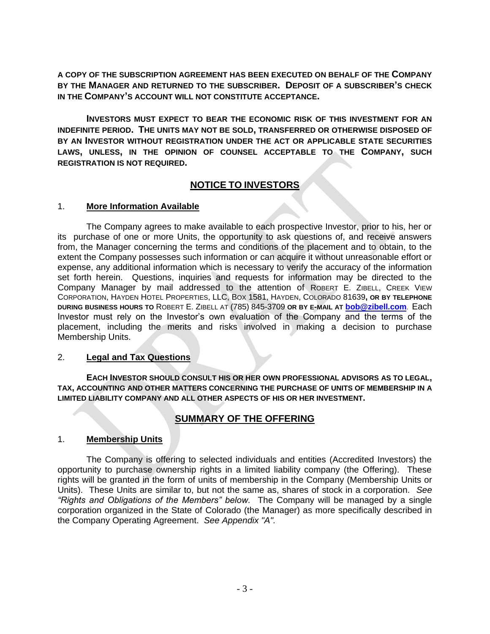**A COPY OF THE SUBSCRIPTION AGREEMENT HAS BEEN EXECUTED ON BEHALF OF THE COMPANY BY THE MANAGER AND RETURNED TO THE SUBSCRIBER. DEPOSIT OF A SUBSCRIBER'S CHECK IN THE COMPANY'S ACCOUNT WILL NOT CONSTITUTE ACCEPTANCE.**

**INVESTORS MUST EXPECT TO BEAR THE ECONOMIC RISK OF THIS INVESTMENT FOR AN INDEFINITE PERIOD. THE UNITS MAY NOT BE SOLD, TRANSFERRED OR OTHERWISE DISPOSED OF BY AN INVESTOR WITHOUT REGISTRATION UNDER THE ACT OR APPLICABLE STATE SECURITIES LAWS, UNLESS, IN THE OPINION OF COUNSEL ACCEPTABLE TO THE COMPANY, SUCH REGISTRATION IS NOT REQUIRED.**

## **NOTICE TO INVESTORS**

#### 1. **More Information Available**

The Company agrees to make available to each prospective Investor, prior to his, her or its purchase of one or more Units, the opportunity to ask questions of, and receive answers from, the Manager concerning the terms and conditions of the placement and to obtain, to the extent the Company possesses such information or can acquire it without unreasonable effort or expense, any additional information which is necessary to verify the accuracy of the information set forth herein. Questions, inquiries and requests for information may be directed to the Company Manager by mail addressed to the attention of ROBERT E. ZIBELL, CREEK VIEW CORPORATION, HAYDEN HOTEL PROPERTIES, LLC, BOX 1581, HAYDEN, COLORADO 81639**, OR BY TELEPHONE DURING BUSINESS HOURS TO** ROBERT E. ZIBELL AT (785) 845-3709 **OR BY E-MAIL AT bob@zibell.com**. Each Investor must rely on the Investor's own evaluation of the Company and the terms of the placement, including the merits and risks involved in making a decision to purchase Membership Units.

#### 2. **Legal and Tax Questions**

**EACH INVESTOR SHOULD CONSULT HIS OR HER OWN PROFESSIONAL ADVISORS AS TO LEGAL, TAX, ACCOUNTING AND OTHER MATTERS CONCERNING THE PURCHASE OF UNITS OF MEMBERSHIP IN A LIMITED LIABILITY COMPANY AND ALL OTHER ASPECTS OF HIS OR HER INVESTMENT.**

## **SUMMARY OF THE OFFERING**

## 1. **Membership Units**

The Company is offering to selected individuals and entities (Accredited Investors) the opportunity to purchase ownership rights in a limited liability company (the Offering). These rights will be granted in the form of units of membership in the Company (Membership Units or Units). These Units are similar to, but not the same as, shares of stock in a corporation. *See "Rights and Obligations of the Members" below.* The Company will be managed by a single corporation organized in the State of Colorado (the Manager) as more specifically described in the Company Operating Agreement. *See Appendix "A".*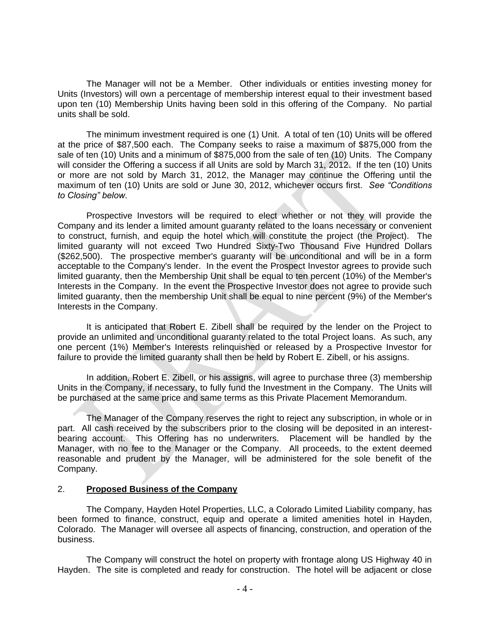The Manager will not be a Member. Other individuals or entities investing money for Units (Investors) will own a percentage of membership interest equal to their investment based upon ten (10) Membership Units having been sold in this offering of the Company. No partial units shall be sold.

The minimum investment required is one (1) Unit. A total of ten (10) Units will be offered at the price of \$87,500 each. The Company seeks to raise a maximum of \$875,000 from the sale of ten (10) Units and a minimum of \$875,000 from the sale of ten (10) Units. The Company will consider the Offering a success if all Units are sold by March 31, 2012. If the ten (10) Units or more are not sold by March 31, 2012, the Manager may continue the Offering until the maximum of ten (10) Units are sold or June 30, 2012, whichever occurs first. *See "Conditions to Closing" below.*

Prospective Investors will be required to elect whether or not they will provide the Company and its lender a limited amount guaranty related to the loans necessary or convenient to construct, furnish, and equip the hotel which will constitute the project (the Project). The limited guaranty will not exceed Two Hundred Sixty-Two Thousand Five Hundred Dollars (\$262,500). The prospective member's guaranty will be unconditional and will be in a form acceptable to the Company's lender. In the event the Prospect Investor agrees to provide such limited guaranty, then the Membership Unit shall be equal to ten percent (10%) of the Member's Interests in the Company. In the event the Prospective Investor does not agree to provide such limited guaranty, then the membership Unit shall be equal to nine percent (9%) of the Member's Interests in the Company.

It is anticipated that Robert E. Zibell shall be required by the lender on the Project to provide an unlimited and unconditional guaranty related to the total Project loans. As such, any one percent (1%) Member's Interests relinquished or released by a Prospective Investor for failure to provide the limited guaranty shall then be held by Robert E. Zibell, or his assigns.

In addition, Robert E. Zibell, or his assigns, will agree to purchase three (3) membership Units in the Company, if necessary, to fully fund the Investment in the Company. The Units will be purchased at the same price and same terms as this Private Placement Memorandum.

The Manager of the Company reserves the right to reject any subscription, in whole or in part. All cash received by the subscribers prior to the closing will be deposited in an interestbearing account. This Offering has no underwriters. Placement will be handled by the Manager, with no fee to the Manager or the Company. All proceeds, to the extent deemed reasonable and prudent by the Manager, will be administered for the sole benefit of the Company.

#### 2. **Proposed Business of the Company**

The Company, Hayden Hotel Properties, LLC, a Colorado Limited Liability company, has been formed to finance, construct, equip and operate a limited amenities hotel in Hayden, Colorado. The Manager will oversee all aspects of financing, construction, and operation of the business.

The Company will construct the hotel on property with frontage along US Highway 40 in Hayden. The site is completed and ready for construction. The hotel will be adjacent or close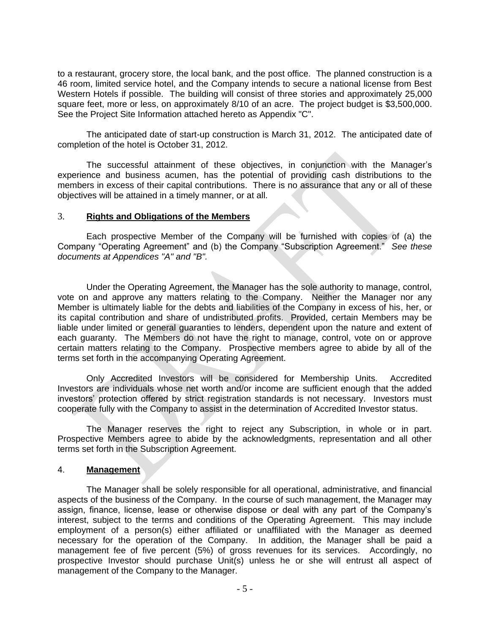to a restaurant, grocery store, the local bank, and the post office. The planned construction is a 46 room, limited service hotel, and the Company intends to secure a national license from Best Western Hotels if possible. The building will consist of three stories and approximately 25,000 square feet, more or less, on approximately 8/10 of an acre. The project budget is \$3,500,000. See the Project Site Information attached hereto as Appendix "C".

The anticipated date of start-up construction is March 31, 2012. The anticipated date of completion of the hotel is October 31, 2012.

The successful attainment of these objectives, in conjunction with the Manager's experience and business acumen, has the potential of providing cash distributions to the members in excess of their capital contributions. There is no assurance that any or all of these objectives will be attained in a timely manner, or at all.

#### 3. **Rights and Obligations of the Members**

Each prospective Member of the Company will be furnished with copies of (a) the Company "Operating Agreement" and (b) the Company "Subscription Agreement." *See these documents at Appendices "A" and "B".*

Under the Operating Agreement, the Manager has the sole authority to manage, control, vote on and approve any matters relating to the Company. Neither the Manager nor any Member is ultimately liable for the debts and liabilities of the Company in excess of his, her, or its capital contribution and share of undistributed profits. Provided, certain Members may be liable under limited or general guaranties to lenders, dependent upon the nature and extent of each guaranty. The Members do not have the right to manage, control, vote on or approve certain matters relating to the Company. Prospective members agree to abide by all of the terms set forth in the accompanying Operating Agreement.

Only Accredited Investors will be considered for Membership Units. Accredited Investors are individuals whose net worth and/or income are sufficient enough that the added investors' protection offered by strict registration standards is not necessary. Investors must cooperate fully with the Company to assist in the determination of Accredited Investor status.

The Manager reserves the right to reject any Subscription, in whole or in part. Prospective Members agree to abide by the acknowledgments, representation and all other terms set forth in the Subscription Agreement.

#### 4. **Management**

The Manager shall be solely responsible for all operational, administrative, and financial aspects of the business of the Company. In the course of such management, the Manager may assign, finance, license, lease or otherwise dispose or deal with any part of the Company's interest, subject to the terms and conditions of the Operating Agreement. This may include employment of a person(s) either affiliated or unaffiliated with the Manager as deemed necessary for the operation of the Company. In addition, the Manager shall be paid a management fee of five percent (5%) of gross revenues for its services. Accordingly, no prospective Investor should purchase Unit(s) unless he or she will entrust all aspect of management of the Company to the Manager.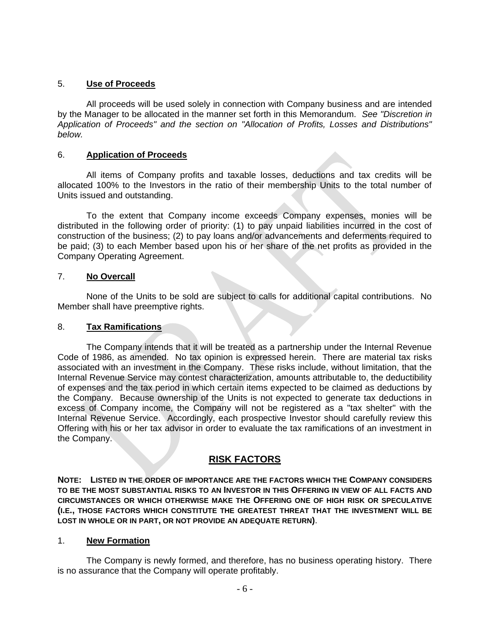#### 5. **Use of Proceeds**

All proceeds will be used solely in connection with Company business and are intended by the Manager to be allocated in the manner set forth in this Memorandum. *See "Discretion in Application of Proceeds" and the section on "Allocation of Profits, Losses and Distributions" below.* 

#### 6. **Application of Proceeds**

All items of Company profits and taxable losses, deductions and tax credits will be allocated 100% to the Investors in the ratio of their membership Units to the total number of Units issued and outstanding.

To the extent that Company income exceeds Company expenses, monies will be distributed in the following order of priority: (1) to pay unpaid liabilities incurred in the cost of construction of the business; (2) to pay loans and/or advancements and deferments required to be paid; (3) to each Member based upon his or her share of the net profits as provided in the Company Operating Agreement.

#### 7. **No Overcall**

None of the Units to be sold are subject to calls for additional capital contributions. No Member shall have preemptive rights.

#### 8. **Tax Ramifications**

The Company intends that it will be treated as a partnership under the Internal Revenue Code of 1986, as amended. No tax opinion is expressed herein. There are material tax risks associated with an investment in the Company. These risks include, without limitation, that the Internal Revenue Service may contest characterization, amounts attributable to, the deductibility of expenses and the tax period in which certain items expected to be claimed as deductions by the Company. Because ownership of the Units is not expected to generate tax deductions in excess of Company income, the Company will not be registered as a "tax shelter" with the Internal Revenue Service. Accordingly, each prospective Investor should carefully review this Offering with his or her tax advisor in order to evaluate the tax ramifications of an investment in the Company.

## **RISK FACTORS**

**NOTE: LISTED IN THE ORDER OF IMPORTANCE ARE THE FACTORS WHICH THE COMPANY CONSIDERS TO BE THE MOST SUBSTANTIAL RISKS TO AN INVESTOR IN THIS OFFERING IN VIEW OF ALL FACTS AND CIRCUMSTANCES OR WHICH OTHERWISE MAKE THE OFFERING ONE OF HIGH RISK OR SPECULATIVE (I.E., THOSE FACTORS WHICH CONSTITUTE THE GREATEST THREAT THAT THE INVESTMENT WILL BE LOST IN WHOLE OR IN PART, OR NOT PROVIDE AN ADEQUATE RETURN)**.

#### 1. **New Formation**

The Company is newly formed, and therefore, has no business operating history. There is no assurance that the Company will operate profitably.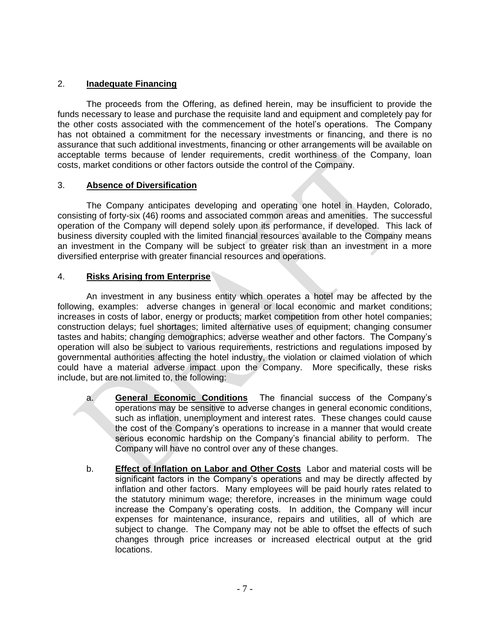### 2. **Inadequate Financing**

The proceeds from the Offering, as defined herein, may be insufficient to provide the funds necessary to lease and purchase the requisite land and equipment and completely pay for the other costs associated with the commencement of the hotel's operations. The Company has not obtained a commitment for the necessary investments or financing, and there is no assurance that such additional investments, financing or other arrangements will be available on acceptable terms because of lender requirements, credit worthiness of the Company, loan costs, market conditions or other factors outside the control of the Company.

#### 3. **Absence of Diversification**

The Company anticipates developing and operating one hotel in Hayden, Colorado, consisting of forty-six (46) rooms and associated common areas and amenities. The successful operation of the Company will depend solely upon its performance, if developed. This lack of business diversity coupled with the limited financial resources available to the Company means an investment in the Company will be subject to greater risk than an investment in a more diversified enterprise with greater financial resources and operations.

### 4. **Risks Arising from Enterprise**

An investment in any business entity which operates a hotel may be affected by the following, examples: adverse changes in general or local economic and market conditions; increases in costs of labor, energy or products; market competition from other hotel companies; construction delays; fuel shortages; limited alternative uses of equipment; changing consumer tastes and habits; changing demographics; adverse weather and other factors. The Company's operation will also be subject to various requirements, restrictions and regulations imposed by governmental authorities affecting the hotel industry, the violation or claimed violation of which could have a material adverse impact upon the Company. More specifically, these risks include, but are not limited to, the following:

- a. **General Economic Conditions** The financial success of the Company's operations may be sensitive to adverse changes in general economic conditions, such as inflation, unemployment and interest rates. These changes could cause the cost of the Company's operations to increase in a manner that would create serious economic hardship on the Company's financial ability to perform. The Company will have no control over any of these changes.
- b. **Effect of Inflation on Labor and Other Costs** Labor and material costs will be significant factors in the Company's operations and may be directly affected by inflation and other factors. Many employees will be paid hourly rates related to the statutory minimum wage; therefore, increases in the minimum wage could increase the Company's operating costs. In addition, the Company will incur expenses for maintenance, insurance, repairs and utilities, all of which are subject to change. The Company may not be able to offset the effects of such changes through price increases or increased electrical output at the grid locations.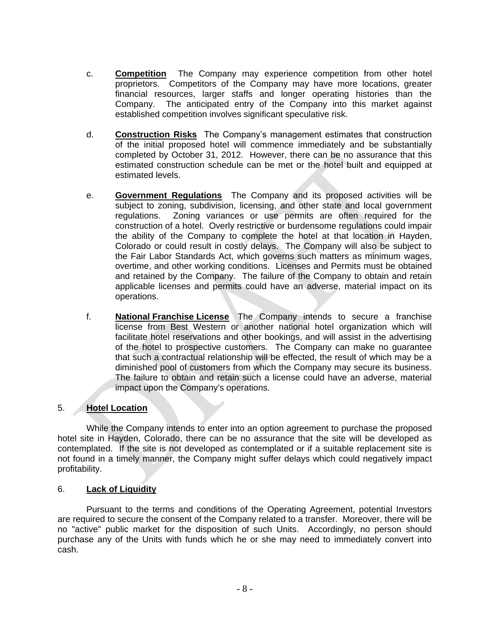- c. **Competition** The Company may experience competition from other hotel proprietors. Competitors of the Company may have more locations, greater financial resources, larger staffs and longer operating histories than the Company. The anticipated entry of the Company into this market against established competition involves significant speculative risk.
- d. **Construction Risks** The Company's management estimates that construction of the initial proposed hotel will commence immediately and be substantially completed by October 31, 2012. However, there can be no assurance that this estimated construction schedule can be met or the hotel built and equipped at estimated levels.
- e. **Government Regulations** The Company and its proposed activities will be subject to zoning, subdivision, licensing, and other state and local government regulations. Zoning variances or use permits are often required for the construction of a hotel. Overly restrictive or burdensome regulations could impair the ability of the Company to complete the hotel at that location in Hayden, Colorado or could result in costly delays. The Company will also be subject to the Fair Labor Standards Act, which governs such matters as minimum wages, overtime, and other working conditions. Licenses and Permits must be obtained and retained by the Company. The failure of the Company to obtain and retain applicable licenses and permits could have an adverse, material impact on its operations.
- f. **National Franchise License** The Company intends to secure a franchise license from Best Western or another national hotel organization which will facilitate hotel reservations and other bookings, and will assist in the advertising of the hotel to prospective customers. The Company can make no guarantee that such a contractual relationship will be effected, the result of which may be a diminished pool of customers from which the Company may secure its business. The failure to obtain and retain such a license could have an adverse, material impact upon the Company's operations.

#### 5. **Hotel Location**

While the Company intends to enter into an option agreement to purchase the proposed hotel site in Hayden, Colorado, there can be no assurance that the site will be developed as contemplated. If the site is not developed as contemplated or if a suitable replacement site is not found in a timely manner, the Company might suffer delays which could negatively impact profitability.

#### 6. **Lack of Liquidity**

Pursuant to the terms and conditions of the Operating Agreement, potential Investors are required to secure the consent of the Company related to a transfer. Moreover, there will be no "active" public market for the disposition of such Units. Accordingly, no person should purchase any of the Units with funds which he or she may need to immediately convert into cash.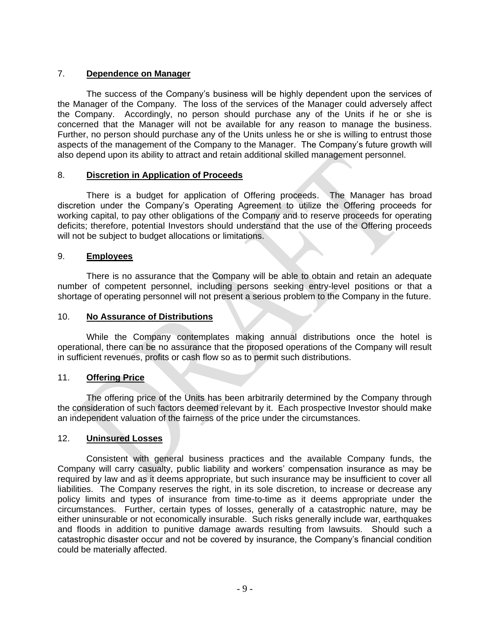### 7. **Dependence on Manager**

The success of the Company's business will be highly dependent upon the services of the Manager of the Company. The loss of the services of the Manager could adversely affect the Company. Accordingly, no person should purchase any of the Units if he or she is concerned that the Manager will not be available for any reason to manage the business. Further, no person should purchase any of the Units unless he or she is willing to entrust those aspects of the management of the Company to the Manager. The Company's future growth will also depend upon its ability to attract and retain additional skilled management personnel.

#### 8. **Discretion in Application of Proceeds**

There is a budget for application of Offering proceeds. The Manager has broad discretion under the Company's Operating Agreement to utilize the Offering proceeds for working capital, to pay other obligations of the Company and to reserve proceeds for operating deficits; therefore, potential Investors should understand that the use of the Offering proceeds will not be subject to budget allocations or limitations.

#### 9. **Employees**

There is no assurance that the Company will be able to obtain and retain an adequate number of competent personnel, including persons seeking entry-level positions or that a shortage of operating personnel will not present a serious problem to the Company in the future.

#### 10. **No Assurance of Distributions**

While the Company contemplates making annual distributions once the hotel is operational, there can be no assurance that the proposed operations of the Company will result in sufficient revenues, profits or cash flow so as to permit such distributions.

#### 11. **Offering Price**

The offering price of the Units has been arbitrarily determined by the Company through the consideration of such factors deemed relevant by it. Each prospective Investor should make an independent valuation of the fairness of the price under the circumstances.

#### 12. **Uninsured Losses**

Consistent with general business practices and the available Company funds, the Company will carry casualty, public liability and workers' compensation insurance as may be required by law and as it deems appropriate, but such insurance may be insufficient to cover all liabilities. The Company reserves the right, in its sole discretion, to increase or decrease any policy limits and types of insurance from time-to-time as it deems appropriate under the circumstances. Further, certain types of losses, generally of a catastrophic nature, may be either uninsurable or not economically insurable. Such risks generally include war, earthquakes and floods in addition to punitive damage awards resulting from lawsuits. Should such a catastrophic disaster occur and not be covered by insurance, the Company's financial condition could be materially affected.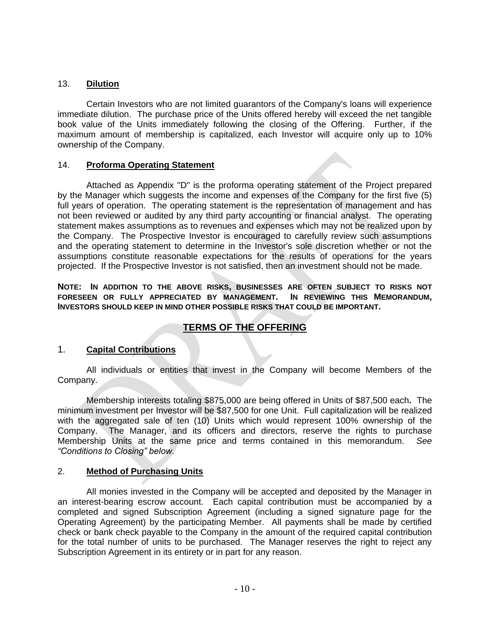#### 13. **Dilution**

Certain Investors who are not limited guarantors of the Company's loans will experience immediate dilution. The purchase price of the Units offered hereby will exceed the net tangible book value of the Units immediately following the closing of the Offering. Further, if the maximum amount of membership is capitalized, each Investor will acquire only up to 10% ownership of the Company.

#### 14. **Proforma Operating Statement**

Attached as Appendix "D" is the proforma operating statement of the Project prepared by the Manager which suggests the income and expenses of the Company for the first five (5) full years of operation. The operating statement is the representation of management and has not been reviewed or audited by any third party accounting or financial analyst. The operating statement makes assumptions as to revenues and expenses which may not be realized upon by the Company. The Prospective Investor is encouraged to carefully review such assumptions and the operating statement to determine in the Investor's sole discretion whether or not the assumptions constitute reasonable expectations for the results of operations for the years projected. If the Prospective Investor is not satisfied, then an investment should not be made.

**NOTE: IN ADDITION TO THE ABOVE RISKS, BUSINESSES ARE OFTEN SUBJECT TO RISKS NOT FORESEEN OR FULLY APPRECIATED BY MANAGEMENT. IN REVIEWING THIS MEMORANDUM, INVESTORS SHOULD KEEP IN MIND OTHER POSSIBLE RISKS THAT COULD BE IMPORTANT.**

## **TERMS OF THE OFFERING**

## 1. **Capital Contributions**

All individuals or entities that invest in the Company will become Members of the Company.

Membership interests totaling \$875,000 are being offered in Units of \$87,500 each**.** The minimum investment per Investor will be \$87,500 for one Unit. Full capitalization will be realized with the aggregated sale of ten (10) Units which would represent 100% ownership of the Company. The Manager, and its officers and directors, reserve the rights to purchase Membership Units at the same price and terms contained in this memorandum. *See "Conditions to Closing" below.*

## 2. **Method of Purchasing Units**

All monies invested in the Company will be accepted and deposited by the Manager in an interest-bearing escrow account. Each capital contribution must be accompanied by a completed and signed Subscription Agreement (including a signed signature page for the Operating Agreement) by the participating Member. All payments shall be made by certified check or bank check payable to the Company in the amount of the required capital contribution for the total number of units to be purchased. The Manager reserves the right to reject any Subscription Agreement in its entirety or in part for any reason.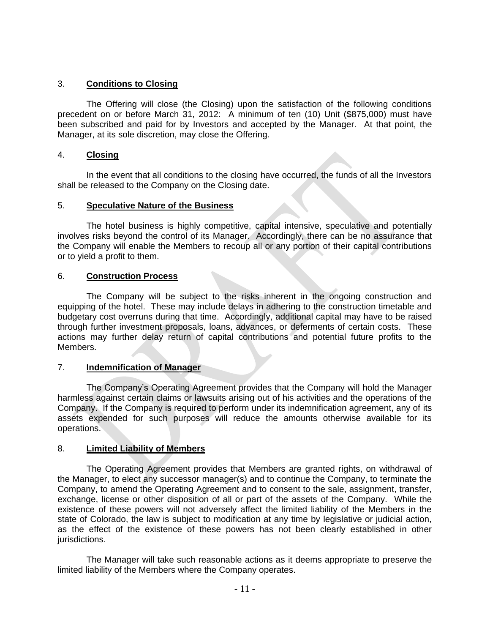### 3. **Conditions to Closing**

The Offering will close (the Closing) upon the satisfaction of the following conditions precedent on or before March 31, 2012: A minimum of ten (10) Unit (\$875,000) must have been subscribed and paid for by Investors and accepted by the Manager. At that point, the Manager, at its sole discretion, may close the Offering.

#### 4. **Closing**

In the event that all conditions to the closing have occurred, the funds of all the Investors shall be released to the Company on the Closing date.

#### 5. **Speculative Nature of the Business**

The hotel business is highly competitive, capital intensive, speculative and potentially involves risks beyond the control of its Manager. Accordingly, there can be no assurance that the Company will enable the Members to recoup all or any portion of their capital contributions or to yield a profit to them.

#### 6. **Construction Process**

The Company will be subject to the risks inherent in the ongoing construction and equipping of the hotel. These may include delays in adhering to the construction timetable and budgetary cost overruns during that time. Accordingly, additional capital may have to be raised through further investment proposals, loans, advances, or deferments of certain costs. These actions may further delay return of capital contributions and potential future profits to the Members.

#### 7. **Indemnification of Manager**

The Company's Operating Agreement provides that the Company will hold the Manager harmless against certain claims or lawsuits arising out of his activities and the operations of the Company. If the Company is required to perform under its indemnification agreement, any of its assets expended for such purposes will reduce the amounts otherwise available for its operations.

#### 8. **Limited Liability of Members**

The Operating Agreement provides that Members are granted rights, on withdrawal of the Manager, to elect any successor manager(s) and to continue the Company, to terminate the Company, to amend the Operating Agreement and to consent to the sale, assignment, transfer, exchange, license or other disposition of all or part of the assets of the Company. While the existence of these powers will not adversely affect the limited liability of the Members in the state of Colorado, the law is subject to modification at any time by legislative or judicial action, as the effect of the existence of these powers has not been clearly established in other jurisdictions.

The Manager will take such reasonable actions as it deems appropriate to preserve the limited liability of the Members where the Company operates.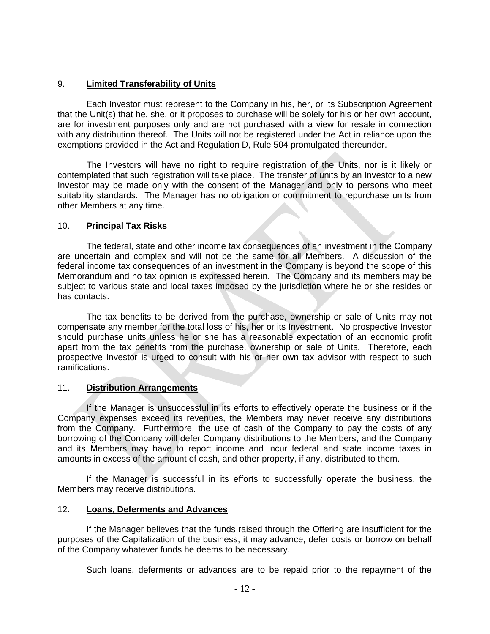### 9. **Limited Transferability of Units**

Each Investor must represent to the Company in his, her, or its Subscription Agreement that the Unit(s) that he, she, or it proposes to purchase will be solely for his or her own account, are for investment purposes only and are not purchased with a view for resale in connection with any distribution thereof. The Units will not be registered under the Act in reliance upon the exemptions provided in the Act and Regulation D, Rule 504 promulgated thereunder.

The Investors will have no right to require registration of the Units, nor is it likely or contemplated that such registration will take place. The transfer of units by an Investor to a new Investor may be made only with the consent of the Manager and only to persons who meet suitability standards. The Manager has no obligation or commitment to repurchase units from other Members at any time.

#### 10. **Principal Tax Risks**

The federal, state and other income tax consequences of an investment in the Company are uncertain and complex and will not be the same for all Members. A discussion of the federal income tax consequences of an investment in the Company is beyond the scope of this Memorandum and no tax opinion is expressed herein. The Company and its members may be subject to various state and local taxes imposed by the jurisdiction where he or she resides or has contacts.

The tax benefits to be derived from the purchase, ownership or sale of Units may not compensate any member for the total loss of his, her or its Investment. No prospective Investor should purchase units unless he or she has a reasonable expectation of an economic profit apart from the tax benefits from the purchase, ownership or sale of Units. Therefore, each prospective Investor is urged to consult with his or her own tax advisor with respect to such ramifications.

## 11. **Distribution Arrangements**

If the Manager is unsuccessful in its efforts to effectively operate the business or if the Company expenses exceed its revenues, the Members may never receive any distributions from the Company. Furthermore, the use of cash of the Company to pay the costs of any borrowing of the Company will defer Company distributions to the Members, and the Company and its Members may have to report income and incur federal and state income taxes in amounts in excess of the amount of cash, and other property, if any, distributed to them.

If the Manager is successful in its efforts to successfully operate the business, the Members may receive distributions.

#### 12. **Loans, Deferments and Advances**

If the Manager believes that the funds raised through the Offering are insufficient for the purposes of the Capitalization of the business, it may advance, defer costs or borrow on behalf of the Company whatever funds he deems to be necessary.

Such loans, deferments or advances are to be repaid prior to the repayment of the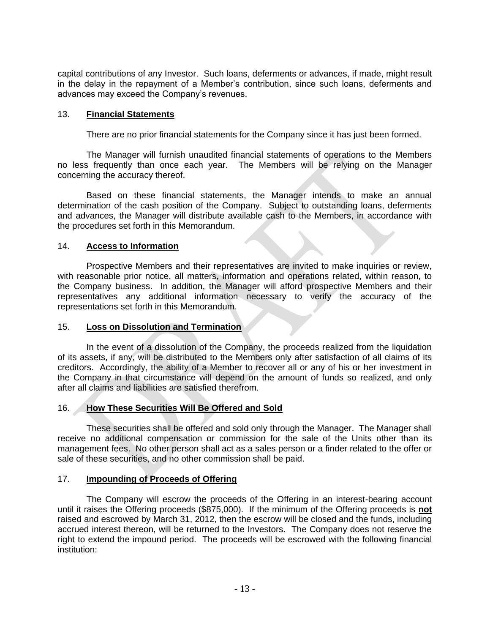capital contributions of any Investor. Such loans, deferments or advances, if made, might result in the delay in the repayment of a Member's contribution, since such loans, deferments and advances may exceed the Company's revenues.

#### 13. **Financial Statements**

There are no prior financial statements for the Company since it has just been formed.

The Manager will furnish unaudited financial statements of operations to the Members no less frequently than once each year. The Members will be relying on the Manager concerning the accuracy thereof.

Based on these financial statements, the Manager intends to make an annual determination of the cash position of the Company. Subject to outstanding loans, deferments and advances, the Manager will distribute available cash to the Members, in accordance with the procedures set forth in this Memorandum.

#### 14. **Access to Information**

Prospective Members and their representatives are invited to make inquiries or review, with reasonable prior notice, all matters, information and operations related, within reason, to the Company business. In addition, the Manager will afford prospective Members and their representatives any additional information necessary to verify the accuracy of the representations set forth in this Memorandum.

#### 15. **Loss on Dissolution and Termination**

In the event of a dissolution of the Company, the proceeds realized from the liquidation of its assets, if any, will be distributed to the Members only after satisfaction of all claims of its creditors. Accordingly, the ability of a Member to recover all or any of his or her investment in the Company in that circumstance will depend on the amount of funds so realized, and only after all claims and liabilities are satisfied therefrom.

#### 16. **How These Securities Will Be Offered and Sold**

These securities shall be offered and sold only through the Manager. The Manager shall receive no additional compensation or commission for the sale of the Units other than its management fees. No other person shall act as a sales person or a finder related to the offer or sale of these securities, and no other commission shall be paid.

#### 17. **Impounding of Proceeds of Offering**

The Company will escrow the proceeds of the Offering in an interest-bearing account until it raises the Offering proceeds (\$875,000). If the minimum of the Offering proceeds is **not** raised and escrowed by March 31, 2012, then the escrow will be closed and the funds, including accrued interest thereon, will be returned to the Investors. The Company does not reserve the right to extend the impound period. The proceeds will be escrowed with the following financial institution: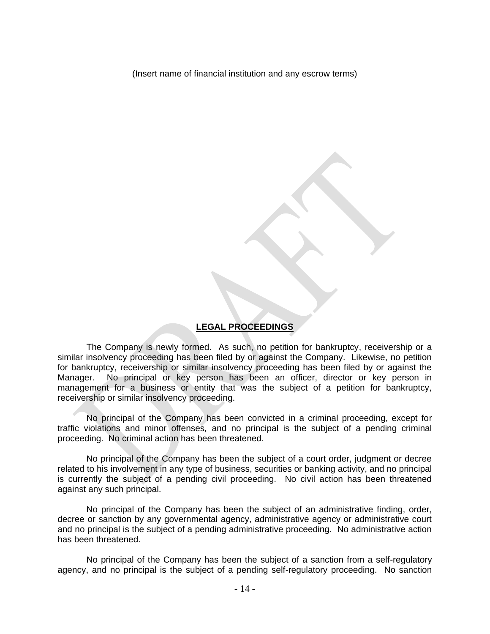(Insert name of financial institution and any escrow terms)

#### **LEGAL PROCEEDINGS**

The Company is newly formed. As such, no petition for bankruptcy, receivership or a similar insolvency proceeding has been filed by or against the Company. Likewise, no petition for bankruptcy, receivership or similar insolvency proceeding has been filed by or against the Manager. No principal or key person has been an officer, director or key person in management for a business or entity that was the subject of a petition for bankruptcy, receivership or similar insolvency proceeding.

No principal of the Company has been convicted in a criminal proceeding, except for traffic violations and minor offenses*,* and no principal is the subject of a pending criminal proceeding. No criminal action has been threatened.

No principal of the Company has been the subject of a court order, judgment or decree related to his involvement in any type of business, securities or banking activity, and no principal is currently the subject of a pending civil proceeding. No civil action has been threatened against any such principal.

No principal of the Company has been the subject of an administrative finding, order, decree or sanction by any governmental agency, administrative agency or administrative court and no principal is the subject of a pending administrative proceeding. No administrative action has been threatened.

No principal of the Company has been the subject of a sanction from a self-regulatory agency, and no principal is the subject of a pending self-regulatory proceeding. No sanction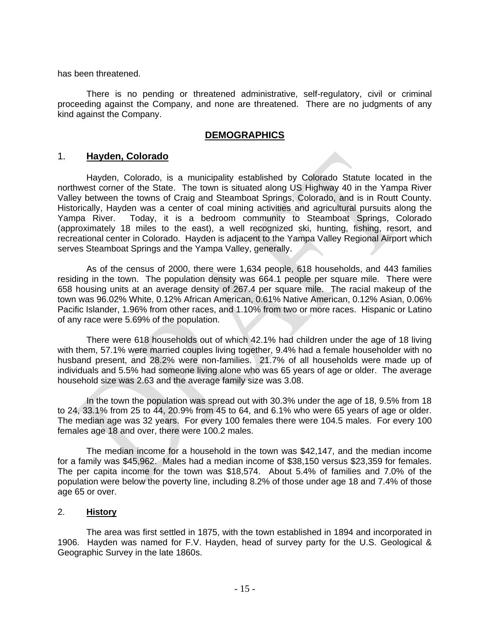has been threatened.

There is no pending or threatened administrative, self-regulatory, civil or criminal proceeding against the Company, and none are threatened. There are no judgments of any kind against the Company.

#### **DEMOGRAPHICS**

#### 1. **Hayden, Colorado**

Hayden, Colorado, is a municipality established by Colorado Statute located in the northwest corner of the State. The town is situated along US Highway 40 in the Yampa River Valley between the towns of Craig and Steamboat Springs, Colorado, and is in Routt County. Historically, Hayden was a center of coal mining activities and agricultural pursuits along the Yampa River. Today, it is a bedroom community to Steamboat Springs, Colorado (approximately 18 miles to the east), a well recognized ski, hunting, fishing, resort, and recreational center in Colorado. Hayden is adjacent to the Yampa Valley Regional Airport which serves Steamboat Springs and the Yampa Valley, generally.

As of the census of 2000, there were 1,634 people, 618 households, and 443 families residing in the town. The population density was 664.1 people per square mile. There were 658 housing units at an average density of 267.4 per square mile. The racial makeup of the town was 96.02% White, 0.12% African American, 0.61% Native American, 0.12% Asian, 0.06% Pacific Islander, 1.96% from other races, and 1.10% from two or more races. Hispanic or Latino of any race were 5.69% of the population.

There were 618 households out of which 42.1% had children under the age of 18 living with them, 57.1% were married couples living together, 9.4% had a female householder with no husband present, and 28.2% were non-families. 21.7% of all households were made up of individuals and 5.5% had someone living alone who was 65 years of age or older. The average household size was 2.63 and the average family size was 3.08.

In the town the population was spread out with 30.3% under the age of 18, 9.5% from 18 to 24, 33.1% from 25 to 44, 20.9% from 45 to 64, and 6.1% who were 65 years of age or older. The median age was 32 years. For every 100 females there were 104.5 males. For every 100 females age 18 and over, there were 100.2 males.

The median income for a household in the town was \$42,147, and the median income for a family was \$45,962. Males had a median income of \$38,150 versus \$23,359 for females. The per capita income for the town was \$18,574. About 5.4% of families and 7.0% of the population were below the poverty line, including 8.2% of those under age 18 and 7.4% of those age 65 or over.

#### 2. **History**

The area was first settled in 1875, with the town established in 1894 and incorporated in 1906. Hayden was named for F.V. Hayden, head of survey party for the U.S. Geological & Geographic Survey in the late 1860s.